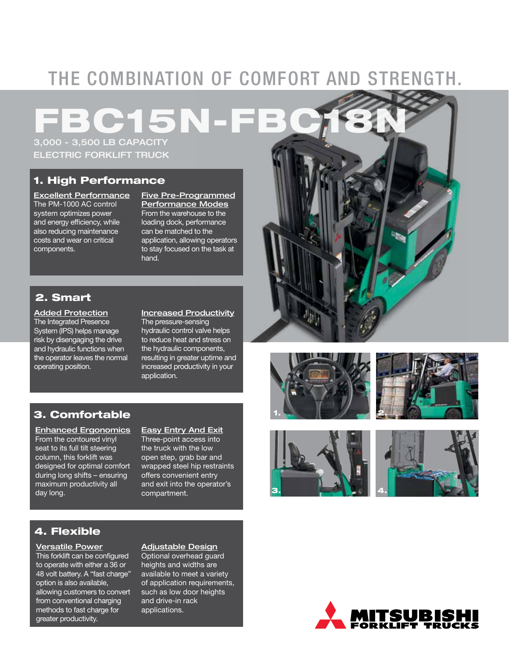## THE COMBINATION OF COMFORT AND STRENGTH.

15N

3,000 - 3,500 LB CAPACITY ELECTRIC FORKLIFT TRUCK

## 1. High Performance

Excellent Performance The PM-1000 AC control system optimizes power and energy efficiency, while also reducing maintenance costs and wear on critical components.

Five Pre-Programmed Performance Modes From the warehouse to the loading dock, performance can be matched to the application, allowing operators to stay focused on the task at hand.

## 2. Smart

Added Protection The Integrated Presence System (IPS) helps manage risk by disengaging the drive and hydraulic functions when the operator leaves the normal operating position.

### Increased Productivity

The pressure-sensing hydraulic control valve helps to reduce heat and stress on the hydraulic components, resulting in greater uptime and increased productivity in your application.

### 3. Comfortable

Enhanced Ergonomics From the contoured vinyl seat to its full tilt steering column, this forklift was designed for optimal comfort during long shifts – ensuring maximum productivity all day long.

Easy Entry And Exit Three-point access into the truck with the low open step, grab bar and wrapped steel hip restraints offers convenient entry and exit into the operator's compartment.

## 4. Flexible

Versatile Power This forklift can be configured to operate with either a 36 or 48 volt battery. A "fast charge" option is also available, allowing customers to convert from conventional charging methods to fast charge for greater productivity.

### Adjustable Design

Optional overhead guard heights and widths are available to meet a variety of application requirements, such as low door heights and drive-in rack applications.











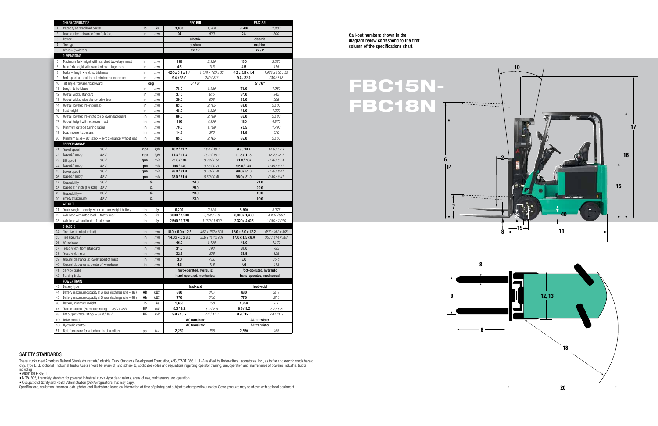Call-out numbers shown in the diagram below correspond to the first column of the specifications chart.

SAFETY STANDARDS

These trucks meet American National Standards Institute/Industrial Truck Standards Development Foundation, ANSI/ITSDF B56.1. UL-Classified by Underwriters Laboratories, Inc., as to fire and electric shock hazard only; Type E, EE (optional), Industrial Trucks. Users should be aware of, and adhere to, applicable codes and regulations regarding operator training, use, operation and maintenance of powered industrial trucks, including:

• ANSI/ITSDF B56.1.

• NFPA 505, fire safety standard for powered industrial trucks -type designations, areas of use, maintenance and operation.

• Occupational Safety and Health Administration (OSHA) regulations that may apply.

Specifications, equipment, technical data, photos and illustrations based on information at time of printing and subject to change without notice. Some products may be shown with optional equipment.

## FBC15N-FBC18N

|                 | <b>CHARACTERISTICS</b>                                          |          |           | FBC15N                                                |                          | FBC18N                                                |                          |
|-----------------|-----------------------------------------------------------------|----------|-----------|-------------------------------------------------------|--------------------------|-------------------------------------------------------|--------------------------|
| $\mathbf{1}$    | Capacity at rated load center                                   | Ib       | kg        | 3,000                                                 | 1,500                    | 3,500                                                 | 1,800                    |
| $\overline{c}$  | Load center - distance from fork face                           | in       | mm        | 24                                                    | 500                      | 24                                                    | 500                      |
| 3               | Power                                                           |          |           | electric                                              |                          | electric                                              |                          |
| $\overline{4}$  | Tire type                                                       |          |           | cushion                                               |                          | cushion                                               |                          |
| 5               | Wheels (x=driven)                                               |          |           | 2x/2                                                  |                          | 2x/2                                                  |                          |
|                 | <b>DIMENSIONS</b>                                               |          |           |                                                       |                          |                                                       |                          |
| 6               | Maximum fork height with standard two-stage mast                | in       | mm        | 130                                                   | 3,320                    | 130                                                   | 3,320                    |
| $\overline{7}$  | Free fork height with standard two-stage mast                   | in       | mm        | 4.5                                                   | 115                      | 4.5                                                   | 115                      |
| 8               | Forks - length x width x thickness                              | in       | mm        | 42.0 x 3.9 x 1.4                                      | 1,070 x 100 x 35         | 4.2 x 3.9 x 1.4                                       | 1,070 x 100 x 35         |
| 9               | Fork spacing - out-to-out minimum / maximum                     | in       | mm        | 9.4 / 32.0                                            | 240/818                  | 9.4 / 32.0                                            | 240/818                  |
| 10              | Tilt angle, forward / backward                                  | deg      |           | $5^\circ/6^\circ$                                     |                          | $5^\circ/6^\circ$                                     |                          |
| 11              | Length to fork face                                             | in       | mm        | 78.0                                                  | 1,980                    | 78.0                                                  | 1,980                    |
| 12              | Overall width, standard                                         | in       | mm        | 37.0                                                  | 945                      | 37.0                                                  | 945                      |
| 13              | Overall width, wide stance drive tires                          | in       | mm        | 39.0                                                  | 996                      | 39.0                                                  | 996                      |
| 14              | Overall lowered height (mast)                                   | in       | mm        | 83.0                                                  | 2,105                    | 83.0                                                  | 2,105                    |
| 15              | Seat height                                                     | in       | mm        | 48.0                                                  | 1,220                    | 48.0                                                  | 1,220                    |
| 16              | Overall lowered height to top of overhead guard                 | in       | mm        | 86.0                                                  | 2,180                    | 86.0                                                  | 2,180                    |
| 17              | Overall height with extended mast                               | in       | mт        | 180                                                   | 4,570                    | 180                                                   | 4,570                    |
| 18              | Minimum outside turning radius                                  | in       | mm        | 70.5                                                  | 1,790                    | 70.5                                                  | 1,790                    |
| 19              | Load moment constant                                            | in       | mm        | 14.8                                                  | 376                      | 14.8                                                  | 376                      |
| 20              | Minimum aisle $-90^\circ$ stack $-$ zero clearance without load | in       | mm        | 85.0                                                  | 2,165                    | 85.0                                                  | 2,165                    |
|                 | PERFORMANCE                                                     |          |           |                                                       |                          |                                                       |                          |
| 21              | 36 V<br>Travel speed -                                          | mph      | kph       | 10.2 / 11.2                                           | 16.4 / 18.0              | 9.3 / 10.8                                            | 14.9/17.3                |
| 22              | loaded / empty<br>48 V                                          | mph      | kph       | 11.3 / 11.3                                           | 18.2 / 18.2              | 11.3 / 11.3                                           | 18.2/18.2                |
| 23              | 36 V<br>Lift speed $-$                                          | fpm      | m/s       | 75.0 / 106                                            | 0.38 / 0.54              | 71.0 / 106                                            | 0.36/0.54                |
| 24              | loaded / empty<br>48 V                                          | fpm      | m/s       | 104 / 140                                             | 0.53 / 0.71              | 96.0 / 140                                            | 0.49/0.71                |
| 25              | Lower speed -<br>36 V                                           | fpm      | m/s       | 98.0 / 81.0                                           | 0.50 / 0.41              | 98.0 / 81.0                                           | 0.50 / 0.41              |
| 26              | loaded / empty<br>48 V                                          | fpm      | m/s       | 98.0 / 81.0                                           | 0.50 / 0.41              | 98.0 / 81.0                                           | 0.50 / 0.41              |
| 27              | 36 V<br>$Gradeability -$                                        | $\%$     |           | 24.0                                                  |                          | 21.0                                                  |                          |
| 28              | loaded at 1mph (1.6 kph)<br>48 V                                | $\%$     |           | 25.0                                                  |                          | 22.0                                                  |                          |
| 29              | 36 V<br>$Gradeability -$                                        | %        |           | 23.0                                                  |                          | 19.0                                                  |                          |
| 30              | empty (maximum)<br>48 V                                         | %        |           | 23.0                                                  |                          | 19.0                                                  |                          |
|                 | WEIGHT                                                          |          |           |                                                       |                          |                                                       |                          |
| 31              | Truck weight - empty with minimum weight battery                | Ib       | kg        | 6,200                                                 | 2,825                    | 6,800                                                 | 3,075                    |
| 32              | Axle load with rated load $-$ front / rear                      | Ib       | kg        | 8,000 / 1,200                                         | 3,750/570                | 8,800 / 1,480                                         | 4,200 / 660              |
| 33 <sup>°</sup> | Axle load without load - front / rear                           | Ib       | kg        | 2,500 / 3,725                                         | 1,130 / 1,690            | 2,320 / 4,425                                         | 1,050 / 2,010            |
|                 | <b>CHASSIS</b>                                                  |          |           |                                                       |                          |                                                       |                          |
| 34              | Tire size, front (standard)                                     | in       | mm        | 18.0 x 6.0 x 12.2                                     | 457 x 152 x 308          | 18.0 x 6.0 x 12.2                                     | 457 x 152 x 308          |
| 35<br>36        | Tire size, rear<br>Wheelbase                                    | in<br>in | mm        | 14.0 x 4.5 x 8.0<br>46.0                              | 356 x 114 x 203<br>1,170 | 14.0 x 4.5 x 8.0<br>46.0                              | 356 x 114 x 203<br>1,170 |
| 37              |                                                                 | in       | mm        | 31.0                                                  |                          | 31.0                                                  |                          |
| 38              | Tread width, front (standard)<br>Tread width, rear              | in       | mm        | 32.5                                                  | 793<br>826               | 32.5                                                  | 793<br>826               |
| 39              | Ground clearance at lowest point of mast                        | in       | mm<br>mm  | 3.0                                                   | 75.0                     | 3.0                                                   | 75.0                     |
| 40              | Ground clearance at center of wheelbase                         | in       | mm        | 4.6                                                   | 118                      | 4.6                                                   | 118                      |
| 41              | Service brake                                                   |          |           |                                                       |                          |                                                       |                          |
| 42              | Parking brake                                                   |          |           | foot-operated, hydraulic<br>hand-operated, mechanical |                          | foot-operated, hydraulic<br>hand-operated, mechanical |                          |
|                 | <b>POWERTRAIN</b>                                               |          |           |                                                       |                          |                                                       |                          |
| 43              | Battery type                                                    |          | lead-acid |                                                       | lead-acid                |                                                       |                          |
| 44              | Battery, maximum capacity at 6 hour discharge rate - 36 V       | Ah       | kWh       | 880                                                   | 31.7                     | 880                                                   | 31.7                     |
| 45              | Battery, maximum capacity at 6 hour discharge rate - 48 V       | Ah       | kWh       | 770                                                   | 37.0                     | 770                                                   | 37.0                     |
| 46              | Battery, minimum weight                                         | lb       | kg        | 1,650                                                 | 750                      | 1,650                                                 | 750                      |
| 47              | Traction output (60 minute rating) $-36$ V / 48 V               | HP       | kW        | 8.3 / 9.2                                             | 6.2 / 6.8                | 8.3 / 9.2                                             | 6.2 / 6.8                |
| 48              | Lift output (20% rating) $-36$ V / 48 V                         | HP       | kW        | 9.9 / 15.7                                            | 7.4/11.7                 | 9.9 / 15.7                                            | 7.4 / 11.7               |
| 49              | Drive controls<br><b>AC</b> transistor<br><b>AC</b> transistor  |          |           |                                                       |                          |                                                       |                          |
| 50              | Hydraulic controls                                              |          |           | <b>AC</b> transistor                                  |                          | <b>AC</b> transistor                                  |                          |
| 51              | Relief pressure for attachments at auxiliary                    | psi      | bar       | 2,250                                                 | 155                      | 2,250                                                 | 155                      |
|                 |                                                                 |          |           |                                                       |                          |                                                       |                          |